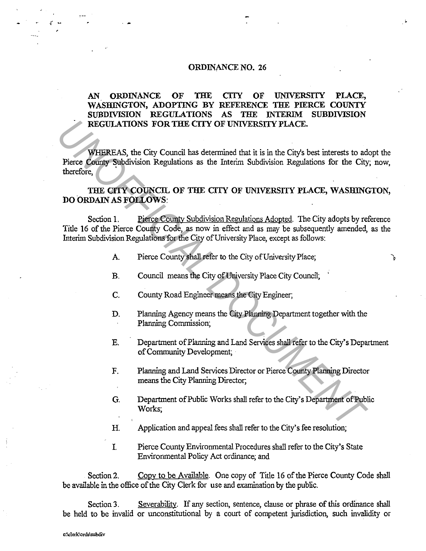## ORDINANCE NO. 26

## AN ORDINANCE OF THE CITY OF UNIVERSITY PLACE, WASHINGTON, ADOPTING BY REFERENCE THE PIERCE COUNTY<br>SUBDIVISION REGULATIONS AS THE INTERIM SUBDIVISION SUBDIVISION REGULATIONS AS THE INTERIM REGULATIONS FOR THE CITY OF UNIVERSITY PLACE.

WHEREAS, the City Council has determined that it is in the City's best interests to adopt the Pierce County Subdivision Regulations as the Interim Subdivision Regulations for the City; now, therefore, **EXECUTATIONS FOR THE CITY OF UNIVERSITY PLACE.**<br> **VHEREAS, the City Council has determined that it is in the City's best interests to all<br>
Pierce County Subdivision Regulations as the Interim Subdivision Regulations for t** 

## THE CITY COUNCIL OF THE CITY OF UNIVERSITY PLACE, WASHINGTON, DO ORDAIN AS FOLLOWS:

Section 1. Pierce County Subdivision Regulations Adopted. The City adopts by reference Title 16 of the Pierce County Code, as now in effect and as may be subsequently amended, as the Interim Subdivision Regulations for the City of University Place, except as follows:

- A. Pierce County shall refer to the City of University Place;
- B. Council means the City of University Place City Council;
- C. County Road Engineer means the City Engineer;
- D. Planning Agency means the City Planning Department together with the Planning Commission;
- E. Department of Planning and Land Services shall refer to the City's Department of Community Development;

ጌ

- F. Planning and Land Services Director or Pierce County Planning Director means the City Planning Director;
- G. Department of Public Works shall refer to the City's Department of Public Works;
- H. Application and appeal fees shall refer to the City's fee resolution;
- I. Pierce County Environmental Procedures shall refer to the City's State Environmental Policy Act ordinance; and

Section 2. Copy to be Available. One copy of Title 16 of the Pierce County Code shall be available in the office of the City Clerk for use and examination by the public.

Section 3. Severability. If any section, sentence, clause or phrase of this ordinance shall be held to be invalid or unconstitutional by a court of competent jurisdiction, such invalidity or